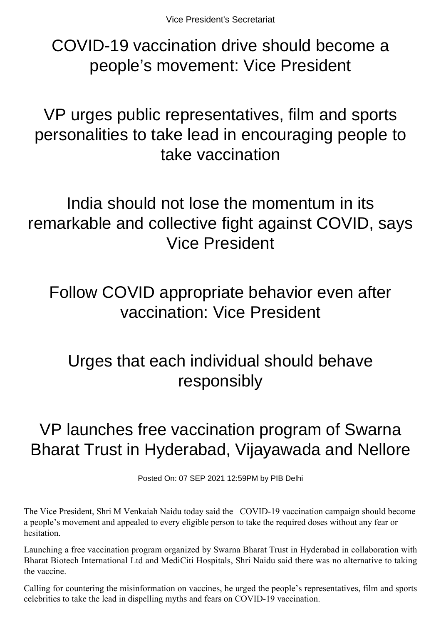COVID-19 vaccination drive should become a people's movement: Vice President

VP urges public representatives, film and sports personalities to take lead in encouraging people to take vaccination

India should not lose the momentum in its remarkable and collective fight against COVID, says Vice President

Follow COVID appropriate behavior even after vaccination: Vice President

## Urges that each individual should behave responsibly

## VP launches free vaccination program of Swarna Bharat Trust in Hyderabad, Vijayawada and Nellore

Posted On: 07 SEP 2021 12:59PM by PIB Delhi

The Vice President, Shri M Venkaiah Naidu today said the COVID-19 vaccination campaign should become a people's movement and appealed to every eligible person to take the required doses without any fear or hesitation.

Launching a free vaccination program organized by Swarna Bharat Trust in Hyderabad in collaboration with Bharat Biotech International Ltd and MediCiti Hospitals, Shri Naidu said there was no alternative to taking the vaccine.

Calling for countering the misinformation on vaccines, he urged the people's representatives, film and sports celebrities to take the lead in dispelling myths and fears on COVID-19 vaccination.